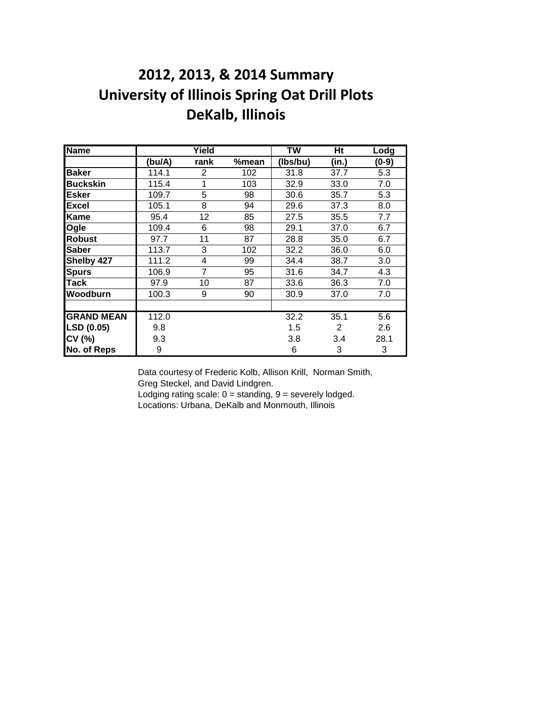### **2012, 2013, & 2014 Summary University of Illinois Spring Oat Drill Plots DeKalb, Illinois**

| <b>Name</b>       |       | Yield |       | TW       | Ηt             | Lodg  |
|-------------------|-------|-------|-------|----------|----------------|-------|
|                   | (bu/A | rank  | %mean | (lbs/bu) | (in.)          | (0-9) |
| <b>Baker</b>      | 114.1 | 2     | 102   | 31.8     | 37.7           | 5.3   |
| <b>Buckskin</b>   | 115.4 | 1     | 103   | 32.9     | 33.0           | 7.0   |
| <b>Esker</b>      | 109.7 | 5     | 98    | 30.6     | 35.7           | 5.3   |
| Excel             | 105.1 | 8     | 94    | 29.6     | 37.3           | 8.0   |
| Kame              | 95.4  | 12    | 85    | 27.5     | 35.5           | 7.7   |
| Ogle              | 109.4 | 6     | 98    | 29.1     | 37.0           | 6.7   |
| <b>Robust</b>     | 97.7  | 11    | 87    | 28.8     | 35.0           | 6.7   |
| <b>Saber</b>      | 113.7 | 3     | 102   | 32.2     | 36.0           | 6.0   |
| Shelby 427        | 111.2 | 4     | 99    | 34.4     | 38.7           | 3.0   |
| <b>Spurs</b>      | 106.9 | 7     | 95    | 31.6     | 34.7           | 4.3   |
| Tack              | 97.9  | 10    | 87    | 33.6     | 36.3           | 7.0   |
| Woodburn          | 100.3 | 9     | 90    | 30.9     | 37.0           | 7.0   |
|                   |       |       |       |          |                |       |
| <b>GRAND MEAN</b> | 112.0 |       |       | 32.2     | 35.1           | 5.6   |
| LSD (0.05)        | 9.8   |       |       | 1.5      | $\overline{2}$ | 2.6   |
| CV (%)            | 9.3   |       |       | 3.8      | 3.4            | 28.1  |
| No. of Reps       | 9     |       |       | 6        | 3              | 3     |

Data courtesy of Frederic Kolb, Allison Krill, Norman Smith, Greg Steckel, and David Lindgren. Lodging rating scale:  $0 =$  standing,  $9 =$  severely lodged. Locations: Urbana, DeKalb and Monmouth, Illinois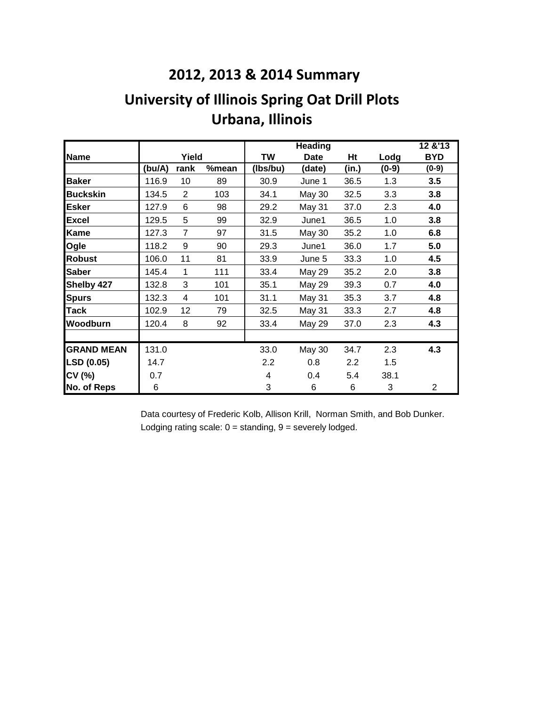#### **2012, 2013 & 2014 Summary**

### **University of Illinois Spring Oat Drill Plots Urbana, Illinois**

|                   |        |                |       |          | <b>Heading</b> |       |         | 12 & 13    |
|-------------------|--------|----------------|-------|----------|----------------|-------|---------|------------|
| <b>Name</b>       |        | Yield          |       | TW       | <b>Date</b>    | Ht    | Lodg    | <b>BYD</b> |
|                   | (bu/A) | rank           | %mean | (Ibs/bu) | (date)         | (in.) | $(0-9)$ | $(0-9)$    |
| <b>Baker</b>      | 116.9  | 10             | 89    | 30.9     | June 1         | 36.5  | 1.3     | 3.5        |
| <b>Buckskin</b>   | 134.5  | $\overline{2}$ | 103   | 34.1     | May 30         | 32.5  | 3.3     | 3.8        |
| <b>Esker</b>      | 127.9  | 6              | 98    | 29.2     | May 31         | 37.0  | 2.3     | 4.0        |
| <b>Excel</b>      | 129.5  | 5              | 99    | 32.9     | June1          | 36.5  | 1.0     | 3.8        |
| Kame              | 127.3  | $\overline{7}$ | 97    | 31.5     | <b>May 30</b>  | 35.2  | 1.0     | 6.8        |
| Ogle              | 118.2  | 9              | 90    | 29.3     | June1          | 36.0  | 1.7     | 5.0        |
| <b>Robust</b>     | 106.0  | 11             | 81    | 33.9     | June 5         | 33.3  | 1.0     | 4.5        |
| <b>Saber</b>      | 145.4  | 1              | 111   | 33.4     | <b>May 29</b>  | 35.2  | 2.0     | 3.8        |
| Shelby 427        | 132.8  | 3              | 101   | 35.1     | <b>May 29</b>  | 39.3  | 0.7     | 4.0        |
| <b>Spurs</b>      | 132.3  | 4              | 101   | 31.1     | May 31         | 35.3  | 3.7     | 4.8        |
| <b>Tack</b>       | 102.9  | 12             | 79    | 32.5     | May 31         | 33.3  | 2.7     | 4.8        |
| Woodburn          | 120.4  | 8              | 92    | 33.4     | <b>May 29</b>  | 37.0  | 2.3     | 4.3        |
|                   |        |                |       |          |                |       |         |            |
| <b>GRAND MEAN</b> | 131.0  |                |       | 33.0     | May 30         | 34.7  | 2.3     | 4.3        |
| LSD (0.05)        | 14.7   |                |       | 2.2      | 0.8            | 2.2   | 1.5     |            |
| CV (%)            | 0.7    |                |       | 4        | 0.4            | 5.4   | 38.1    |            |
| No. of Reps       | 6      |                |       | 3        | 6              | 6     | 3       | 2          |

Data courtesy of Frederic Kolb, Allison Krill, Norman Smith, and Bob Dunker. Lodging rating scale:  $0 =$  standing,  $9 =$  severely lodged.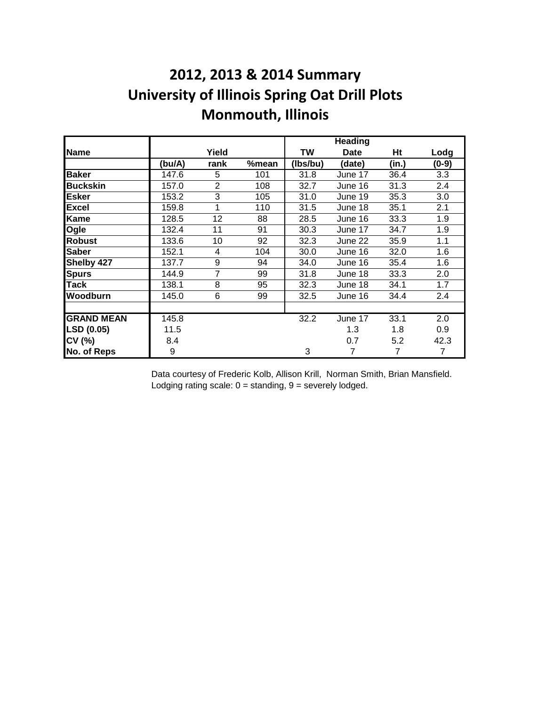# **2012, 2013 & 2014 Summary University of Illinois Spring Oat Drill Plots Monmouth, Illinois**

|                   |        |                |       |          | <b>Heading</b> |       |         |
|-------------------|--------|----------------|-------|----------|----------------|-------|---------|
| <b>Name</b>       |        | Yield          |       | TW       | <b>Date</b>    | Ht    | Lodg    |
|                   | (bu/A) | rank           | %mean | (Ibs/bu) | (date)         | (in.) | $(0-9)$ |
| <b>Baker</b>      | 147.6  | 5              | 101   | 31.8     | June 17        | 36.4  | 3.3     |
| <b>Buckskin</b>   | 157.0  | $\overline{2}$ | 108   | 32.7     | June 16        | 31.3  | 2.4     |
| <b>Esker</b>      | 153.2  | 3              | 105   | 31.0     | June 19        | 35.3  | 3.0     |
| <b>Excel</b>      | 159.8  | 1              | 110   | 31.5     | June 18        | 35.1  | 2.1     |
| Kame              | 128.5  | 12             | 88    | 28.5     | June 16        | 33.3  | 1.9     |
| Ogle              | 132.4  | 11             | 91    | 30.3     | June 17        | 34.7  | 1.9     |
| <b>Robust</b>     | 133.6  | 10             | 92    | 32.3     | June 22        | 35.9  | 1.1     |
| <b>Saber</b>      | 152.1  | 4              | 104   | 30.0     | June 16        | 32.0  | 1.6     |
| Shelby 427        | 137.7  | 9              | 94    | 34.0     | June 16        | 35.4  | 1.6     |
| <b>Spurs</b>      | 144.9  | 7              | 99    | 31.8     | June 18        | 33.3  | 2.0     |
| <b>Tack</b>       | 138.1  | 8              | 95    | 32.3     | June 18        | 34.1  | 1.7     |
| Woodburn          | 145.0  | 6              | 99    | 32.5     | June 16        | 34.4  | 2.4     |
|                   |        |                |       |          |                |       |         |
| <b>GRAND MEAN</b> | 145.8  |                |       | 32.2     | June 17        | 33.1  | 2.0     |
| LSD (0.05)        | 11.5   |                |       |          | 1.3            | 1.8   | 0.9     |
| CV(%)             | 8.4    |                |       |          | 0.7            | 5.2   | 42.3    |
| No. of Reps       | 9      |                |       | 3        | 7              | 7     | 7       |

Data courtesy of Frederic Kolb, Allison Krill, Norman Smith, Brian Mansfield. Lodging rating scale:  $0 =$  standing,  $9 =$  severely lodged.